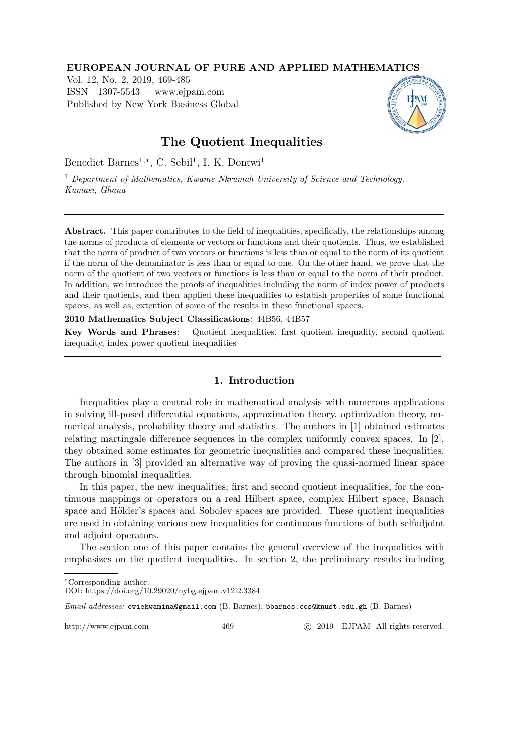### EUROPEAN JOURNAL OF PURE AND APPLIED MATHEMATICS

Vol. 12, No. 2, 2019, 469-485 ISSN 1307-5543 – www.ejpam.com Published by New York Business Global



# The Quotient Inequalities

Benedict Barnes<sup>1,\*</sup>, C. Sebil<sup>1</sup>, I. K. Dontwi<sup>1</sup>

<sup>1</sup> Department of Mathematics, Kwame Nkrumah University of Science and Technology, Kumasi, Ghana

Abstract. This paper contributes to the field of inequalities, specifically, the relationships among the norms of products of elements or vectors or functions and their quotients. Thus, we established that the norm of product of two vectors or functions is less than or equal to the norm of its quotient if the norm of the denominator is less than or equal to one. On the other hand, we prove that the norm of the quotient of two vectors or functions is less than or equal to the norm of their product. In addition, we introduce the proofs of inequalities including the norm of index power of products and their quotients, and then applied these inequalities to estabish properties of some functional spaces, as well as, extention of some of the results in these functional spaces.

2010 Mathematics Subject Classifications: 44B56, 44B57

Key Words and Phrases: Quotient inequalities, first quotient inequality, second quotient inequality, index power quotient inequalities

### 1. Introduction

Inequalities play a central role in mathematical analysis with numerous applications in solving ill-posed differential equations, approximation theory, optimization theory, numerical analysis, probability theory and statistics. The authors in [1] obtained estimates relating martingale difference sequences in the complex uniformly convex spaces. In [2], they obtained some estimates for geometric inequalities and compared these inequalities. The authors in [3] provided an alternative way of proving the quasi-normed linear space through binomial inequalities.

In this paper, the new inequalities; first and second quotient inequalities, for the continuous mappings or operators on a real Hilbert space, complex Hilbert space, Banach space and Hölder's spaces and Sobolev spaces are provided. These quotient inequalities are used in obtaining various new inequalities for continuous functions of both selfadjoint and adjoint operators.

The section one of this paper contains the general overview of the inequalities with emphasizes on the quotient inequalities. In section 2, the preliminary results including

http://www.ejpam.com 469 c 2019 EJPAM All rights reserved.

<sup>∗</sup>Corresponding author.

DOI: https://doi.org/10.29020/nybg.ejpam.v12i2.3384

Email addresses: ewiekwamina@gmail.com (B. Barnes), bbarnes.cos@knust.edu.gh (B. Barnes)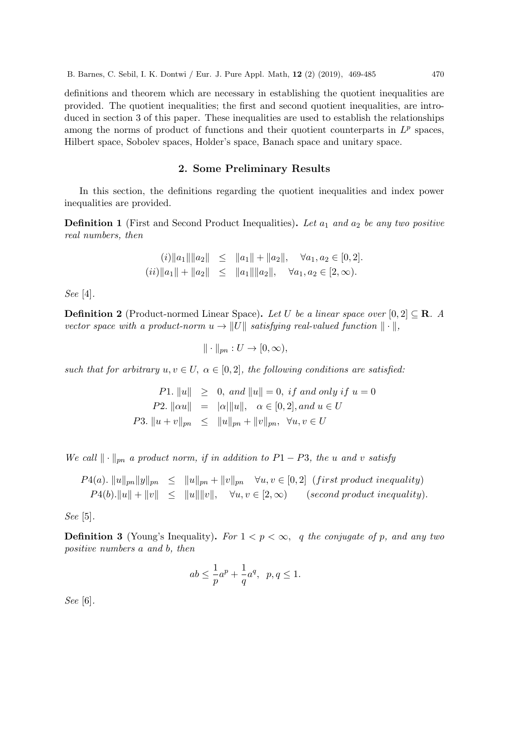definitions and theorem which are necessary in establishing the quotient inequalities are provided. The quotient inequalities; the first and second quotient inequalities, are introduced in section 3 of this paper. These inequalities are used to establish the relationships among the norms of product of functions and their quotient counterparts in  $L^p$  spaces, Hilbert space, Sobolev spaces, Holder's space, Banach space and unitary space.

#### 2. Some Preliminary Results

In this section, the definitions regarding the quotient inequalities and index power inequalities are provided.

**Definition 1** (First and Second Product Inequalities). Let  $a_1$  and  $a_2$  be any two positive real numbers, then

$$
(i) \|a_1\| \|a_2\| \le \|a_1\| + \|a_2\|, \quad \forall a_1, a_2 \in [0, 2].
$$
  

$$
(ii) \|a_1\| + \|a_2\| \le \|a_1\| \|a_2\|, \quad \forall a_1, a_2 \in [2, \infty).
$$

See [4].

**Definition 2** (Product-normed Linear Space). Let U be a linear space over  $[0, 2] \subseteq \mathbb{R}$ . A vector space with a product-norm  $u \to ||U||$  satisfying real-valued function  $|| \cdot ||$ ,

$$
\|\cdot\|_{pn}: U \to [0,\infty),
$$

such that for arbitrary  $u, v \in U$ ,  $\alpha \in [0, 2]$ , the following conditions are satisfied:

P1.  $||u|| \geq 0$ , and  $||u|| = 0$ , if and only if  $u = 0$ P2.  $\|\alpha u\| = |\alpha| \|u\|, \quad \alpha \in [0, 2],$  and  $u \in U$ P3.  $||u + v||_{pn} \le ||u||_{pn} + ||v||_{pn}, \forall u, v \in U$ 

We call  $\|\cdot\|_{pn}$  a product norm, if in addition to P1 − P3, the u and v satisfy

 $P_1(a)$ .  $||u||_{pn} ||y||_{pn} \le ||u||_{pn} + ||v||_{pn} \quad \forall u, v \in [0, 2]$  (first product inequality)  $P_1(b)$ . $||u|| + ||v|| \le ||u|| ||v||$ ,  $\forall u, v \in [2, \infty)$  (second product inequality).

See [5].

**Definition 3** (Young's Inequality). For  $1 < p < \infty$ , q the conjugate of p, and any two positive numbers a and b, then

$$
ab \le \frac{1}{p}a^p + \frac{1}{q}a^q, \ \ p, q \le 1.
$$

See [6].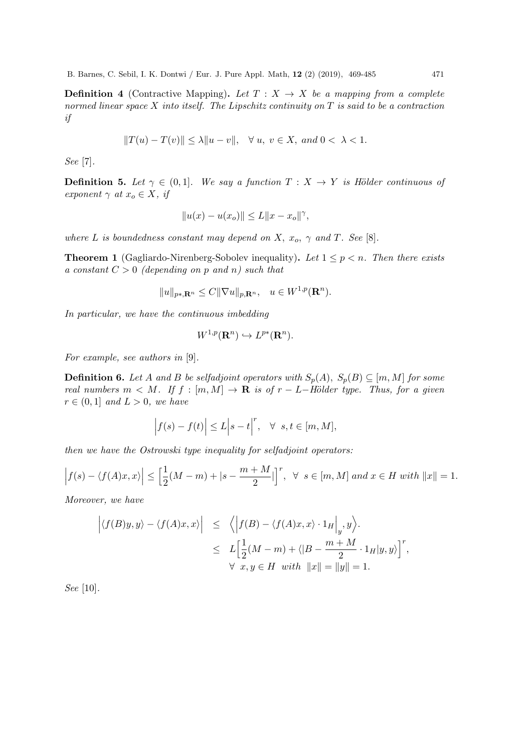**Definition 4** (Contractive Mapping). Let  $T : X \rightarrow X$  be a mapping from a complete normed linear space  $X$  into itself. The Lipschitz continuity on  $T$  is said to be a contraction if

$$
||T(u) - T(v)|| \le \lambda ||u - v||, \quad \forall u, v \in X, \text{ and } 0 < \lambda < 1.
$$

See [7].

**Definition 5.** Let  $\gamma \in (0,1]$ . We say a function  $T : X \to Y$  is Hölder continuous of exponent  $\gamma$  at  $x_o \in X$ , if

$$
||u(x) - u(x_o)|| \le L||x - x_o||^{\gamma},
$$

where L is boundedness constant may depend on X,  $x_o$ ,  $\gamma$  and T. See [8].

**Theorem 1** (Gagliardo-Nirenberg-Sobolev inequality). Let  $1 \leq p \leq n$ . Then there exists a constant  $C > 0$  (depending on p and n) such that

$$
||u||_{p*,\mathbf{R}^n} \leq C||\nabla u||_{p,\mathbf{R}^n}, \quad u \in W^{1,p}(\mathbf{R}^n).
$$

In particular, we have the continuous imbedding

$$
W^{1,p}(\mathbf{R}^n) \hookrightarrow L^{p*}(\mathbf{R}^n).
$$

For example, see authors in [9].

**Definition 6.** Let A and B be selfadjoint operators with  $S_p(A)$ ,  $S_p(B) \subseteq [m, M]$  for some real numbers  $m < M$ . If  $f : [m, M] \rightarrow \mathbf{R}$  is of  $r - L$ -Hölder type. Thus, for a given  $r \in (0,1]$  and  $L > 0$ , we have

$$
\left|f(s) - f(t)\right| \le L \left|s - t\right|^r, \quad \forall \ s, t \in [m, M],
$$

then we have the Ostrowski type inequality for selfadjoint operators:

$$
\left| f(s) - \langle f(A)x, x \rangle \right| \le \left[ \frac{1}{2}(M-m) + |s - \frac{m+M}{2}| \right]^r, \ \ \forall \ \ s \in [m, M] \ and \ x \in H \ with \ \|x\| = 1.
$$

Moreover, we have

$$
\left| \langle f(B)y, y \rangle - \langle f(A)x, x \rangle \right| \leq \left\langle \left| f(B) - \langle f(A)x, x \rangle \cdot 1_H \right|_y, y \right\rangle.
$$
  

$$
\leq L \Big[ \frac{1}{2} (M - m) + \langle |B - \frac{m + M}{2} \cdot 1_H | y, y \rangle \Big]^r,
$$
  

$$
\forall x, y \in H \text{ with } ||x|| = ||y|| = 1.
$$

See [10].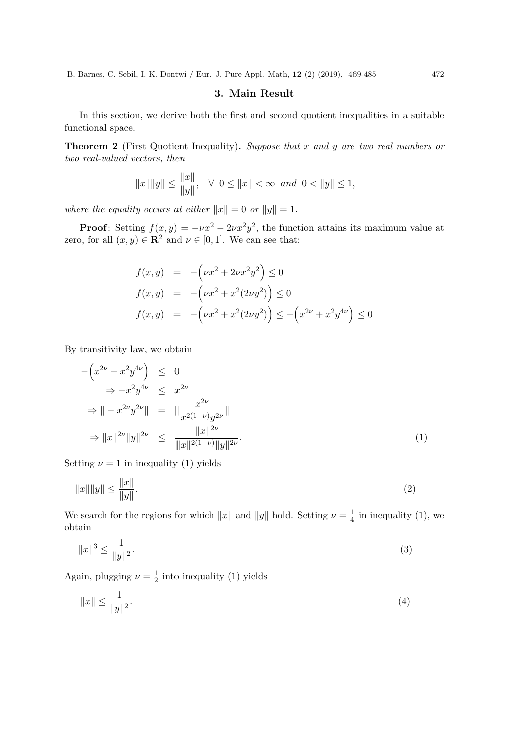## 3. Main Result

In this section, we derive both the first and second quotient inequalities in a suitable functional space.

Theorem 2 (First Quotient Inequality). Suppose that x and y are two real numbers or two real-valued vectors, then

$$
||x|| ||y|| \le ||x||
$$
,  $\forall$   $0 \le ||x|| < \infty$  and  $0 < ||y|| \le 1$ ,

where the equality occurs at either  $||x|| = 0$  or  $||y|| = 1$ .

**Proof:** Setting  $f(x, y) = -\nu x^2 - 2\nu x^2 y^2$ , the function attains its maximum value at zero, for all  $(x, y) \in \mathbb{R}^2$  and  $\nu \in [0, 1]$ . We can see that:

$$
f(x,y) = -\left(\nu x^2 + 2\nu x^2 y^2\right) \le 0
$$
  
\n
$$
f(x,y) = -\left(\nu x^2 + x^2 (2\nu y^2)\right) \le 0
$$
  
\n
$$
f(x,y) = -\left(\nu x^2 + x^2 (2\nu y^2)\right) \le -\left(x^{2\nu} + x^2 y^{4\nu}\right) \le 0
$$

By transitivity law, we obtain

$$
-\left(x^{2\nu} + x^2 y^{4\nu}\right) \le 0
$$
  
\n
$$
\Rightarrow -x^2 y^{4\nu} \le x^{2\nu}
$$
  
\n
$$
\Rightarrow \left\| -x^{2\nu} y^{2\nu} \right\| = \left\| \frac{x^{2\nu}}{x^{2(1-\nu)} y^{2\nu}} \right\|
$$
  
\n
$$
\Rightarrow \left\| x \right\|^{2\nu} \|y\|^{2\nu} \le \frac{\|x\|^{2\nu}}{\|x\|^{2(1-\nu)} \|y\|^{2\nu}}.
$$
  
\n(1)

Setting  $\nu = 1$  in inequality (1) yields

$$
||x|| ||y|| \le \frac{||x||}{||y||}.
$$
\n(2)

We search for the regions for which  $||x||$  and  $||y||$  hold. Setting  $\nu = \frac{1}{4}$  $\frac{1}{4}$  in inequality (1), we obtain

$$
||x||^3 \le \frac{1}{||y||^2}.\tag{3}
$$

Again, plugging  $\nu = \frac{1}{2}$  $\frac{1}{2}$  into inequality (1) yields

$$
||x|| \le \frac{1}{||y||^2}.\tag{4}
$$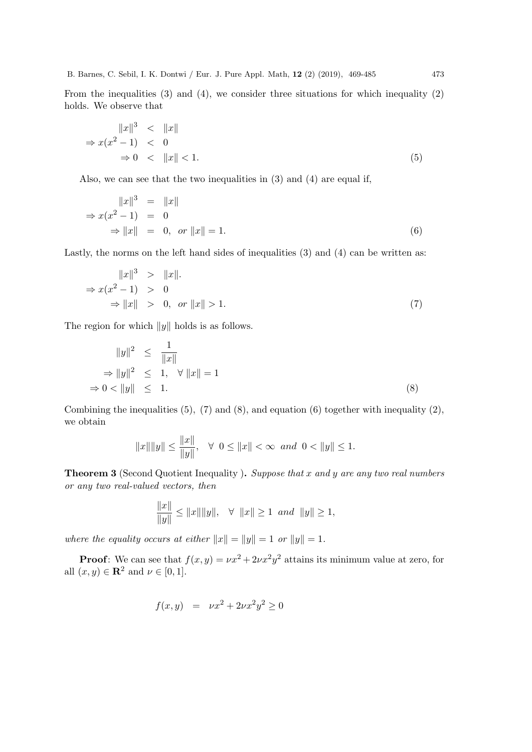From the inequalities  $(3)$  and  $(4)$ , we consider three situations for which inequality  $(2)$ holds. We observe that

$$
||x||3 < ||x||
$$
  
\n
$$
\Rightarrow x(x2 - 1) < 0
$$
  
\n
$$
\Rightarrow 0 < ||x|| < 1.
$$
\n(5)

Also, we can see that the two inequalities in (3) and (4) are equal if,

$$
||x||3 = ||x||
$$
  
\n
$$
\Rightarrow x(x2 - 1) = 0
$$
  
\n
$$
\Rightarrow ||x|| = 0, \text{ or } ||x|| = 1.
$$
 (6)

Lastly, the norms on the left hand sides of inequalities (3) and (4) can be written as:

$$
||x||3 > ||x||.
$$
  
\n
$$
\Rightarrow x(x2 - 1) > 0
$$
  
\n
$$
\Rightarrow ||x|| > 0, \text{ or } ||x|| > 1.
$$
\n(7)

The region for which  $||y||$  holds is as follows.

$$
||y||^2 \le \frac{1}{||x||}
$$
  
\n
$$
\Rightarrow ||y||^2 \le 1, \quad \forall ||x|| = 1
$$
  
\n
$$
\Rightarrow 0 < ||y|| \le 1.
$$
 (8)

Combining the inequalities  $(5)$ ,  $(7)$  and  $(8)$ , and equation  $(6)$  together with inequality  $(2)$ , we obtain

$$
||x|| ||y|| \le ||x||
$$
,  $\forall$   $0 \le ||x|| < \infty$  and  $0 < ||y|| \le 1$ .

Theorem 3 (Second Quotient Inequality ). Suppose that x and y are any two real numbers or any two real-valued vectors, then

$$
\frac{\|x\|}{\|y\|}\leq \|x\|\|y\|,\ \ \, \forall\ \ \|x\|\geq 1\ \, and\ \ \|y\|\geq 1,
$$

where the equality occurs at either  $||x|| = ||y|| = 1$  or  $||y|| = 1$ .

**Proof:** We can see that  $f(x, y) = \nu x^2 + 2\nu x^2 y^2$  attains its minimum value at zero, for all  $(x, y) \in \mathbb{R}^2$  and  $\nu \in [0, 1]$ .

$$
f(x, y) = \nu x^2 + 2\nu x^2 y^2 \ge 0
$$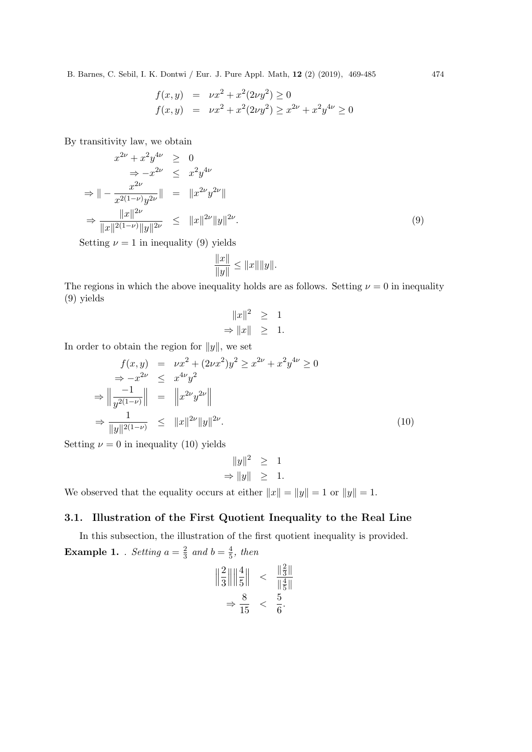$$
f(x,y) = \nu x^2 + x^2 (2\nu y^2) \ge 0
$$
  

$$
f(x,y) = \nu x^2 + x^2 (2\nu y^2) \ge x^{2\nu} + x^2 y^{4\nu} \ge 0
$$

By transitivity law, we obtain

$$
x^{2\nu} + x^2 y^{4\nu} \ge 0
$$
  
\n
$$
\Rightarrow -x^{2\nu} \le x^2 y^{4\nu}
$$
  
\n
$$
\Rightarrow \| -\frac{x^{2\nu}}{x^{2(1-\nu)}y^{2\nu}} \| = \| x^{2\nu} y^{2\nu} \|
$$
  
\n
$$
\Rightarrow \frac{\|x\|^{2\nu}}{\|x\|^{2(1-\nu)} \|y\|^{2\nu}} \le \|x\|^{2\nu} \|y\|^{2\nu}.
$$
  
\n(9)

Setting  $\nu = 1$  in inequality (9) yields

$$
\frac{\|x\|}{\|y\|} \le \|x\| \|y\|.
$$

The regions in which the above inequality holds are as follows. Setting  $\nu = 0$  in inequality (9) yields

$$
||x||^2 \ge 1
$$
  
\n
$$
\Rightarrow ||x|| \ge 1.
$$

In order to obtain the region for  $||y||$ , we set

$$
f(x,y) = \nu x^2 + (2\nu x^2)y^2 \ge x^{2\nu} + x^2y^{4\nu} \ge 0
$$
  
\n
$$
\Rightarrow -x^{2\nu} \le x^{4\nu}y^2
$$
  
\n
$$
\Rightarrow \left\| \frac{-1}{y^{2(1-\nu)}} \right\| = \left\| x^{2\nu}y^{2\nu} \right\|
$$
  
\n
$$
\Rightarrow \frac{1}{\|y\|^{2(1-\nu)}} \le \|x\|^{2\nu} \|y\|^{2\nu}.
$$
 (10)

Setting  $\nu = 0$  in inequality (10) yields

$$
||y||^2 \ge 1
$$
  
\n
$$
\Rightarrow ||y|| \ge 1.
$$

We observed that the equality occurs at either  $||x|| = ||y|| = 1$  or  $||y|| = 1$ .

## 3.1. Illustration of the First Quotient Inequality to the Real Line

In this subsection, the illustration of the first quotient inequality is provided. **Example 1.** . Setting  $a = \frac{2}{3}$  $rac{2}{3}$  and  $b = \frac{4}{5}$  $\frac{4}{5}$ , then

$$
\begin{array}{rcl} \|\frac{2}{3}\| \|\frac{4}{5}\| & < & \frac{\|\frac{2}{3}\|}{\|\frac{4}{5}\|} \\ \Rightarrow \frac{8}{15} & < & \frac{5}{6} \end{array}
$$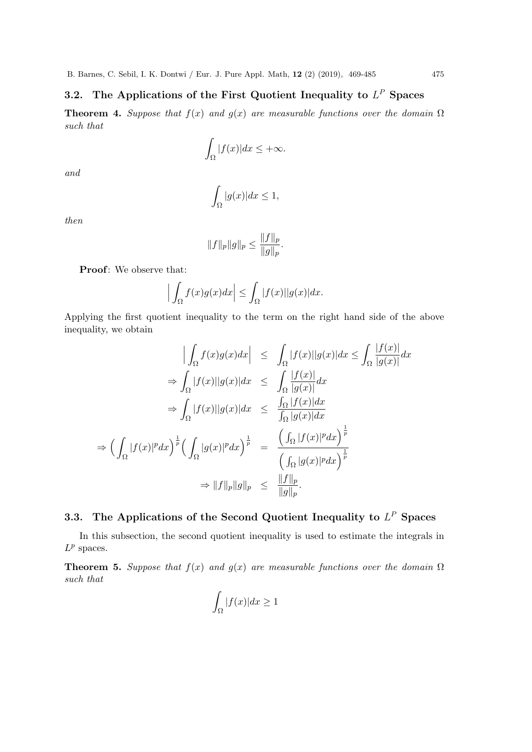## 3.2. The Applications of the First Quotient Inequality to  $L^P$  Spaces

**Theorem 4.** Suppose that  $f(x)$  and  $g(x)$  are measurable functions over the domain  $\Omega$ such that

$$
\int_{\Omega} |f(x)| dx \le +\infty.
$$

and

$$
\int_{\Omega} |g(x)| dx \le 1,
$$

then

$$
||f||_p||g||_p \le \frac{||f||_p}{||g||_p}.
$$

Proof: We observe that:

$$
\Big|\int_{\Omega} f(x)g(x)dx\Big|\leq \int_{\Omega} |f(x)||g(x)|dx.
$$

Applying the first quotient inequality to the term on the right hand side of the above inequality, we obtain

$$
\left| \int_{\Omega} f(x)g(x)dx \right| \leq \int_{\Omega} |f(x)||g(x)|dx \leq \int_{\Omega} \frac{|f(x)|}{|g(x)|}dx
$$
  
\n
$$
\Rightarrow \int_{\Omega} |f(x)||g(x)|dx \leq \int_{\Omega} \frac{|f(x)|}{|g(x)|}dx
$$
  
\n
$$
\Rightarrow \int_{\Omega} |f(x)||g(x)|dx \leq \frac{\int_{\Omega} |f(x)|dx}{\int_{\Omega} |g(x)|dx}
$$
  
\n
$$
\Rightarrow \left( \int_{\Omega} |f(x)|^p dx \right)^{\frac{1}{p}} \left( \int_{\Omega} |g(x)|^p dx \right)^{\frac{1}{p}} = \frac{\left( \int_{\Omega} |f(x)|^p dx \right)^{\frac{1}{p}}}{\left( \int_{\Omega} |g(x)|^p dx \right)^{\frac{1}{p}}}
$$
  
\n
$$
\Rightarrow \|f\|_p \|g\|_p \leq \frac{\|f\|_p}{\|g\|_p}.
$$

## 3.3. The Applications of the Second Quotient Inequality to  $L^P$  Spaces

In this subsection, the second quotient inequality is used to estimate the integrals in  $L^p$  spaces.

**Theorem 5.** Suppose that  $f(x)$  and  $g(x)$  are measurable functions over the domain  $\Omega$ such that

$$
\int_{\Omega} |f(x)| dx \ge 1
$$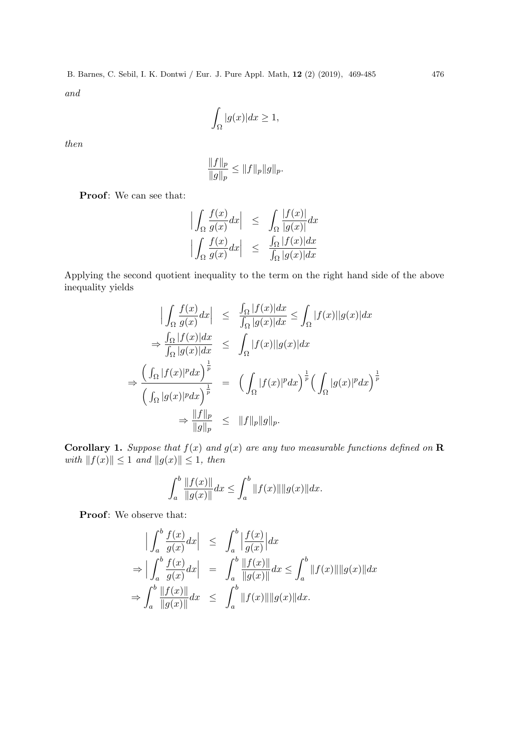$$
\int_{\Omega} |g(x)| dx \ge 1,
$$

then

$$
\frac{\|f\|_p}{\|g\|_p} \le \|f\|_p \|g\|_p.
$$

Proof: We can see that:

$$
\left| \int_{\Omega} \frac{f(x)}{g(x)} dx \right| \leq \int_{\Omega} \frac{|f(x)|}{|g(x)|} dx
$$
  

$$
\left| \int_{\Omega} \frac{f(x)}{g(x)} dx \right| \leq \frac{\int_{\Omega} |f(x)| dx}{\int_{\Omega} |g(x)| dx}
$$

Applying the second quotient inequality to the term on the right hand side of the above inequality yields

$$
\begin{array}{rcl}\n\left| \int_{\Omega} \frac{f(x)}{g(x)} dx \right| & \leq & \frac{\int_{\Omega} |f(x)| dx}{\int_{\Omega} |g(x)| dx} \leq \int_{\Omega} |f(x)| |g(x)| dx \\
& \Rightarrow \frac{\int_{\Omega} |f(x)| dx}{\int_{\Omega} |g(x)| dx} & \leq & \int_{\Omega} |f(x)| |g(x)| dx \\
\Rightarrow \frac{\left( \int_{\Omega} |f(x)|^p dx \right)^{\frac{1}{p}}}{\left( \int_{\Omega} |g(x)|^p dx \right)^{\frac{1}{p}}} = & \left( \int_{\Omega} |f(x)|^p dx \right)^{\frac{1}{p}} \left( \int_{\Omega} |g(x)|^p dx \right)^{\frac{1}{p}} \\
& \Rightarrow \frac{\|f\|_p}{\|g\|_p} & \leq & \|f\|_p \|g\|_p.\n\end{array}
$$

**Corollary 1.** Suppose that  $f(x)$  and  $g(x)$  are any two measurable functions defined on **R** with  $||f(x)|| \leq 1$  and  $||g(x)|| \leq 1$ , then

$$
\int_{a}^{b} \frac{\|f(x)\|}{\|g(x)\|} dx \le \int_{a}^{b} \|f(x)\| \|g(x)\| dx.
$$

Proof: We observe that:

$$
\begin{array}{rcl}\n\left| \int_{a}^{b} \frac{f(x)}{g(x)} dx \right| & \leq & \int_{a}^{b} \left| \frac{f(x)}{g(x)} \right| dx \\
\Rightarrow & \left| \int_{a}^{b} \frac{f(x)}{g(x)} dx \right| & = & \int_{a}^{b} \frac{\|f(x)\|}{\|g(x)\|} dx \leq \int_{a}^{b} \|f(x)\| \|g(x)\| dx \\
\Rightarrow & \int_{a}^{b} \frac{\|f(x)\|}{\|g(x)\|} dx & \leq & \int_{a}^{b} \|f(x)\| \|g(x)\| dx.\n\end{array}
$$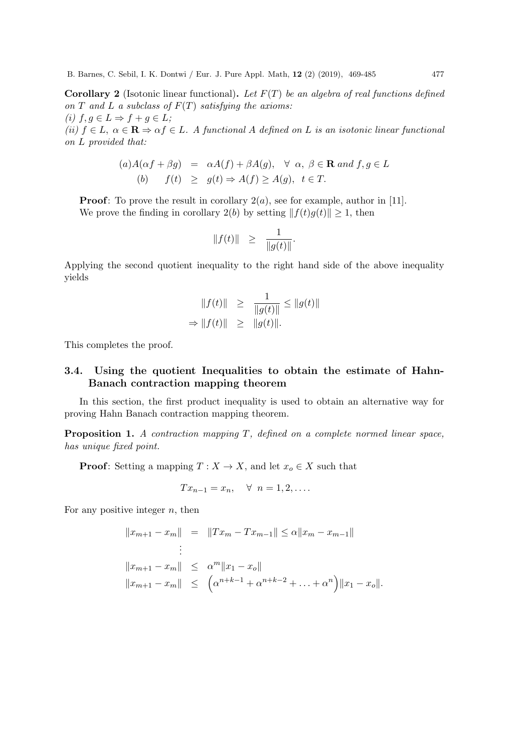**Corollary 2** (Isotonic linear functional). Let  $F(T)$  be an algebra of real functions defined on T and L a subclass of  $F(T)$  satisfying the axioms: (i)  $f, g \in L \Rightarrow f + g \in L$ ; (ii)  $f \in L$ ,  $\alpha \in \mathbf{R} \Rightarrow \alpha f \in L$ . A functional A defined on L is an isotonic linear functional on L provided that:

$$
(a) A(\alpha f + \beta g) = \alpha A(f) + \beta A(g), \forall \alpha, \beta \in \mathbf{R} \text{ and } f, g \in L
$$
  

$$
(b) \quad f(t) \ge g(t) \Rightarrow A(f) \ge A(g), \ t \in T.
$$

**Proof:** To prove the result in corollary  $2(a)$ , see for example, author in [11]. We prove the finding in corollary 2(b) by setting  $|| f(t)g(t) || \ge 1$ , then

$$
||f(t)|| \geq \frac{1}{||g(t)||}.
$$

Applying the second quotient inequality to the right hand side of the above inequality yields

$$
||f(t)|| \ge \frac{1}{||g(t)||} \le ||g(t)||
$$
  
\n
$$
\Rightarrow ||f(t)|| \ge ||g(t)||.
$$

This completes the proof.

## 3.4. Using the quotient Inequalities to obtain the estimate of Hahn-Banach contraction mapping theorem

In this section, the first product inequality is used to obtain an alternative way for proving Hahn Banach contraction mapping theorem.

Proposition 1. A contraction mapping T, defined on a complete normed linear space, has unique fixed point.

**Proof:** Setting a mapping  $T : X \to X$ , and let  $x_o \in X$  such that

$$
Tx_{n-1} = x_n, \quad \forall \ n = 1, 2, \dots.
$$

For any positive integer  $n$ , then

$$
||x_{m+1} - x_m|| = ||Tx_m - Tx_{m-1}|| \le \alpha ||x_m - x_{m-1}||
$$
  
\n
$$
\vdots
$$
  
\n
$$
||x_{m+1} - x_m|| \le \alpha^m ||x_1 - x_o||
$$
  
\n
$$
||x_{m+1} - x_m|| \le (\alpha^{n+k-1} + \alpha^{n+k-2} + ... + \alpha^n) ||x_1 - x_o||.
$$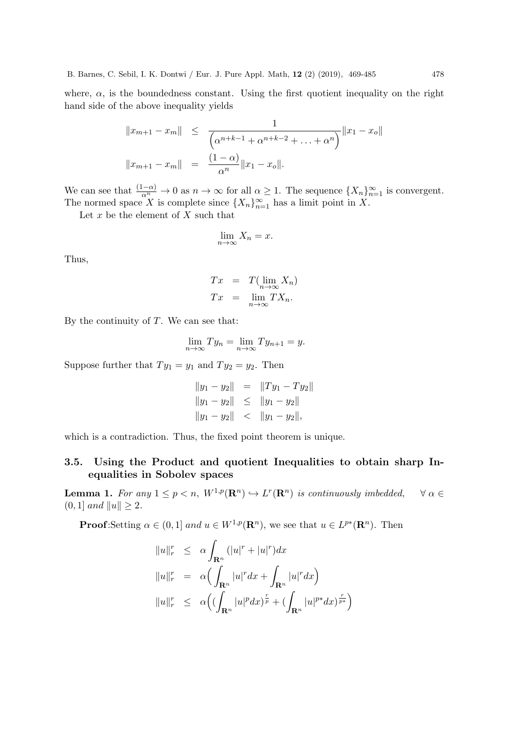where,  $\alpha$ , is the boundedness constant. Using the first quotient inequality on the right hand side of the above inequality yields

$$
||x_{m+1} - x_m|| \le \frac{1}{\left(\alpha^{n+k-1} + \alpha^{n+k-2} + \dots + \alpha^n\right)} ||x_1 - x_o||
$$
  

$$
||x_{m+1} - x_m|| = \frac{(1 - \alpha)}{\alpha^n} ||x_1 - x_o||.
$$

We can see that  $\frac{(1-\alpha)}{\alpha^n} \to 0$  as  $n \to \infty$  for all  $\alpha \geq 1$ . The sequence  $\{X_n\}_{n=1}^{\infty}$  is convergent. The normed space X is complete since  $\{X_n\}_{n=1}^{\infty}$  has a limit point in X.

Let  $x$  be the element of  $X$  such that

$$
\lim_{n \to \infty} X_n = x.
$$

Thus,

$$
Tx = T(\lim_{n \to \infty} X_n)
$$
  

$$
Tx = \lim_{n \to \infty} TX_n.
$$

By the continuity of  $T$ . We can see that:

$$
\lim_{n \to \infty} T y_n = \lim_{n \to \infty} T y_{n+1} = y.
$$

Suppose further that  $Ty_1 = y_1$  and  $Ty_2 = y_2$ . Then

$$
||y_1 - y_2|| = ||Ty_1 - Ty_2||
$$
  
\n
$$
||y_1 - y_2|| \le ||y_1 - y_2||
$$
  
\n
$$
||y_1 - y_2|| < ||y_1 - y_2||,
$$

which is a contradiction. Thus, the fixed point theorem is unique.

## 3.5. Using the Product and quotient Inequalities to obtain sharp Inequalities in Sobolev spaces

**Lemma 1.** For any  $1 \leq p < n$ ,  $W^{1,p}(\mathbb{R}^n) \hookrightarrow L^r(\mathbb{R}^n)$  is continuously imbedded,  $\forall \alpha \in$  $(0, 1]$  and  $||u|| \geq 2$ .

**Proof**: Setting  $\alpha \in (0,1]$  and  $u \in W^{1,p}(\mathbb{R}^n)$ , we see that  $u \in L^{p*}(\mathbb{R}^n)$ . Then

$$
||u||_r^r \leq \alpha \int_{\mathbf{R}^n} (|u|^r + |u|^r) dx
$$
  
\n
$$
||u||_r^r = \alpha \Big( \int_{\mathbf{R}^n} |u|^r dx + \int_{\mathbf{R}^n} |u|^r dx \Big)
$$
  
\n
$$
||u||_r^r \leq \alpha \Big( \Big( \int_{\mathbf{R}^n} |u|^p dx \Big)^{\frac{r}{p}} + \Big( \int_{\mathbf{R}^n} |u|^{p*} dx \Big)^{\frac{r}{p*}} \Big)
$$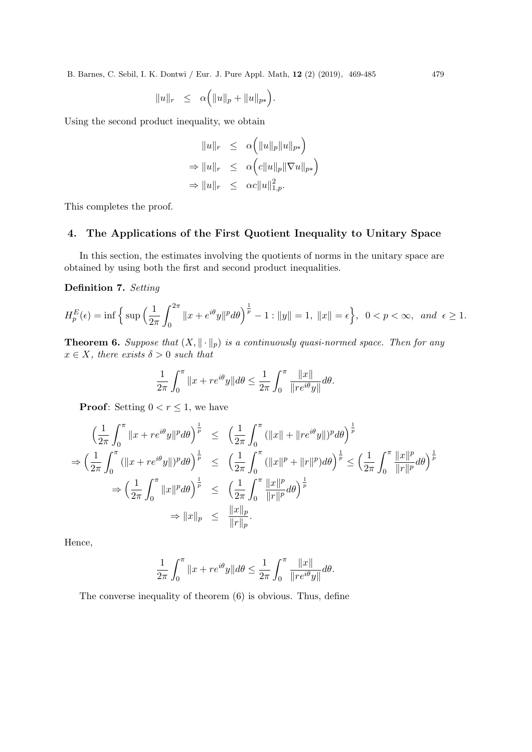$$
||u||_r \leq \alpha (||u||_p + ||u||_{p*}).
$$

Using the second product inequality, we obtain

$$
||u||_r \leq \alpha (||u||_p ||u||_{p*})
$$
  
\n
$$
\Rightarrow ||u||_r \leq \alpha (c||u||_p ||\nabla u||_{p*})
$$
  
\n
$$
\Rightarrow ||u||_r \leq \alpha c||u||_{1,p}^2.
$$

This completes the proof.

## 4. The Applications of the First Quotient Inequality to Unitary Space

In this section, the estimates involving the quotients of norms in the unitary space are obtained by using both the first and second product inequalities.

Definition 7. Setting

$$
H_p^E(\epsilon) = \inf \left\{ \sup \left( \frac{1}{2\pi} \int_0^{2\pi} \|x + e^{i\theta} y\|^p d\theta \right)^{\frac{1}{p}} - 1 : \|y\| = 1, \|x\| = \epsilon \right\}, \ \ 0 < p < \infty, \ \ and \ \ \epsilon \ge 1.
$$

**Theorem 6.** Suppose that  $(X, \|\cdot\|_p)$  is a continuously quasi-normed space. Then for any  $x \in X$ , there exists  $\delta > 0$  such that

$$
\frac{1}{2\pi} \int_0^{\pi} ||x + re^{i\theta}y|| d\theta \le \frac{1}{2\pi} \int_0^{\pi} \frac{||x||}{||re^{i\theta}y||} d\theta.
$$

**Proof:** Setting  $0 < r \leq 1$ , we have

$$
\left(\frac{1}{2\pi}\int_0^\pi \|x+re^{i\theta}y\|^p d\theta\right)^{\frac{1}{p}} \leq \left(\frac{1}{2\pi}\int_0^\pi (\|x\|+\|re^{i\theta}y\|)^p d\theta\right)^{\frac{1}{p}}
$$
  
\n
$$
\Rightarrow \left(\frac{1}{2\pi}\int_0^\pi (\|x+re^{i\theta}y\|)^p d\theta\right)^{\frac{1}{p}} \leq \left(\frac{1}{2\pi}\int_0^\pi (\|x\|^p+\|r\|^p) d\theta\right)^{\frac{1}{p}} \leq \left(\frac{1}{2\pi}\int_0^\pi \frac{\|x\|^p}{\|r\|^p} d\theta\right)^{\frac{1}{p}}
$$
  
\n
$$
\Rightarrow \left(\frac{1}{2\pi}\int_0^\pi \|x\|^p d\theta\right)^{\frac{1}{p}} \leq \left(\frac{1}{2\pi}\int_0^\pi \frac{\|x\|^p}{\|r\|^p} d\theta\right)^{\frac{1}{p}}
$$
  
\n
$$
\Rightarrow \|x\|_p \leq \frac{\|x\|_p}{\|r\|_p}.
$$

Hence,

$$
\frac{1}{2\pi} \int_0^{\pi} \|x + re^{i\theta}y\| d\theta \le \frac{1}{2\pi} \int_0^{\pi} \frac{\|x\|}{\|re^{i\theta}y\|} d\theta.
$$

The converse inequality of theorem (6) is obvious. Thus, define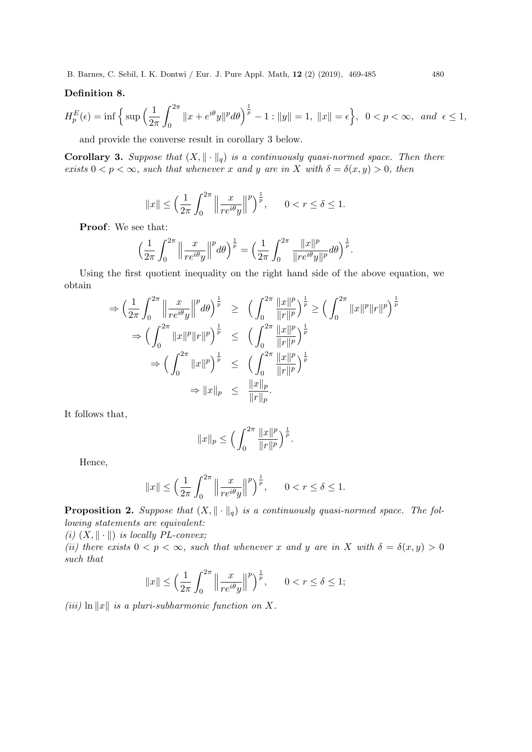## Definition 8.

$$
H_p^E(\epsilon) = \inf \left\{ \sup \left( \frac{1}{2\pi} \int_0^{2\pi} \|x + e^{i\theta} y\|^p d\theta \right)^{\frac{1}{p}} - 1 : \|y\| = 1, \|x\| = \epsilon \right\}, \ \ 0 < p < \infty, \ \ and \ \ \epsilon \le 1,
$$

and provide the converse result in corollary 3 below.

**Corollary 3.** Suppose that  $(X, \|\cdot\|_q)$  is a continuously quasi-normed space. Then there exists  $0 < p < \infty$ , such that whenever x and y are in X with  $\delta = \delta(x, y) > 0$ , then

$$
||x|| \le \left(\frac{1}{2\pi} \int_0^{2\pi} \left\|\frac{x}{re^{i\theta}y}\right\|^p\right)^{\frac{1}{p}}, \qquad 0 < r \le \delta \le 1.
$$

Proof: We see that:

$$
\left(\frac{1}{2\pi}\int_0^{2\pi}\left\|\frac{x}{re^{i\theta}y}\right\|^p d\theta\right)^{\frac{1}{p}} = \left(\frac{1}{2\pi}\int_0^{2\pi}\frac{\|x\|^p}{\|re^{i\theta}y\|^p} d\theta\right)^{\frac{1}{p}}.
$$

Using the first quotient inequality on the right hand side of the above equation, we obtain

$$
\Rightarrow \left(\frac{1}{2\pi} \int_0^{2\pi} \left\|\frac{x}{re^{i\theta}y}\right\|^p d\theta\right)^{\frac{1}{p}} \ge \left(\int_0^{2\pi} \frac{\|x\|^p}{\|r\|^p}\right)^{\frac{1}{p}} \ge \left(\int_0^{2\pi} \|x\|^p \|r\|^p\right)^{\frac{1}{p}}
$$
  

$$
\Rightarrow \left(\int_0^{2\pi} \|x\|^p \|r\|^p\right)^{\frac{1}{p}} \le \left(\int_0^{2\pi} \frac{\|x\|^p}{\|r\|^p}\right)^{\frac{1}{p}}
$$
  

$$
\Rightarrow \left(\int_0^{2\pi} \|x\|^p\right)^{\frac{1}{p}} \le \left(\int_0^{2\pi} \frac{\|x\|^p}{\|r\|^p}\right)^{\frac{1}{p}}
$$
  

$$
\Rightarrow \|x\|_p \le \frac{\|x\|_p}{\|r\|_p}.
$$

It follows that,

$$
||x||_p \le \Big(\int_0^{2\pi} \frac{||x||^p}{||r||^p}\Big)^{\frac{1}{p}}.
$$

Hence,

$$
||x|| \le \left(\frac{1}{2\pi} \int_0^{2\pi} \left\|\frac{x}{re^{i\theta}y}\right\|^p\right)^{\frac{1}{p}}, \qquad 0 < r \le \delta \le 1.
$$

**Proposition 2.** Suppose that  $(X, \|\cdot\|_q)$  is a continuously quasi-normed space. The following statements are equivalent:

(i)  $(X, \|\cdot\|)$  is locally PL-convex;

(ii) there exists  $0 < p < \infty$ , such that whenever x and y are in X with  $\delta = \delta(x, y) > 0$ such that

$$
||x|| \le \left(\frac{1}{2\pi} \int_0^{2\pi} \left\|\frac{x}{re^{i\theta}y}\right\|^p\right)^{\frac{1}{p}}, \qquad 0 < r \le \delta \le 1;
$$

(iii)  $\ln ||x||$  is a pluri-subharmonic function on X.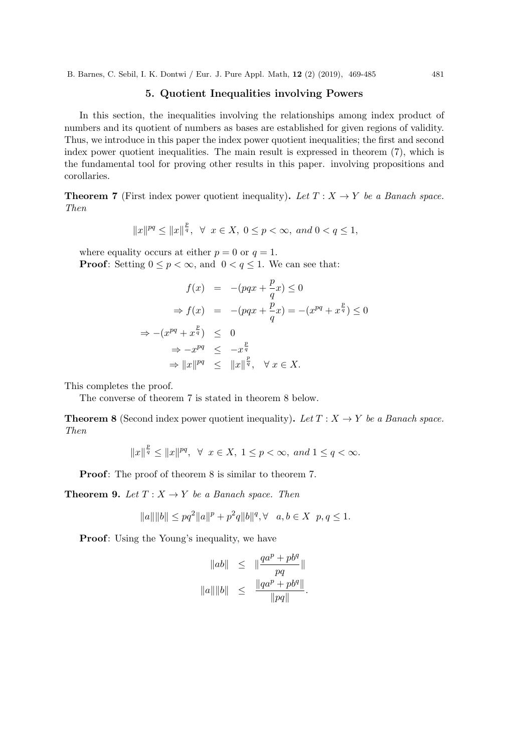## 5. Quotient Inequalities involving Powers

In this section, the inequalities involving the relationships among index product of numbers and its quotient of numbers as bases are established for given regions of validity. Thus, we introduce in this paper the index power quotient inequalities; the first and second index power quotient inequalities. The main result is expressed in theorem (7), which is the fundamental tool for proving other results in this paper. involving propositions and corollaries.

**Theorem 7** (First index power quotient inequality). Let  $T : X \rightarrow Y$  be a Banach space. Then

$$
||x||^{pq} \le ||x||^{\frac{p}{q}}, \ \forall \ x \in X, \ 0 \le p < \infty, \ and \ 0 < q \le 1,
$$

where equality occurs at either  $p = 0$  or  $q = 1$ . **Proof:** Setting  $0 \leq p < \infty$ , and  $0 < q \leq 1$ . We can see that:

$$
f(x) = -(pqx + \frac{p}{q}x) \le 0
$$
  
\n
$$
\Rightarrow f(x) = -(pqx + \frac{p}{q}x) = -(x^{pq} + x^{\frac{p}{q}}) \le 0
$$
  
\n
$$
\Rightarrow -(x^{pq} + x^{\frac{p}{q}}) \le 0
$$
  
\n
$$
\Rightarrow -x^{pq} \le -x^{\frac{p}{q}}
$$
  
\n
$$
\Rightarrow ||x||^{pq} \le ||x||^{\frac{p}{q}}, \quad \forall x \in X.
$$

This completes the proof.

The converse of theorem 7 is stated in theorem 8 below.

**Theorem 8** (Second index power quotient inequality). Let  $T : X \rightarrow Y$  be a Banach space. Then

$$
||x||^{\frac{p}{q}} \leq ||x||^{pq}, \ \ \forall \ \ x \in X, \ 1 \leq p < \infty, \ and \ 1 \leq q < \infty.
$$

Proof: The proof of theorem 8 is similar to theorem 7.

**Theorem 9.** Let  $T: X \to Y$  be a Banach space. Then

$$
||a|| ||b|| \le pq^2 ||a||^p + p^2 q ||b||^q, \forall \quad a, b \in X \quad p, q \le 1.
$$

**Proof:** Using the Young's inequality, we have

$$
\begin{array}{rcl} \|ab\| & \leq & \|\frac{qa^p + pb^q}{pq}\| \\ \|a\| \|b\| & \leq & \dfrac{\|qa^p + pb^q\|}{\|pq\|} . \end{array}
$$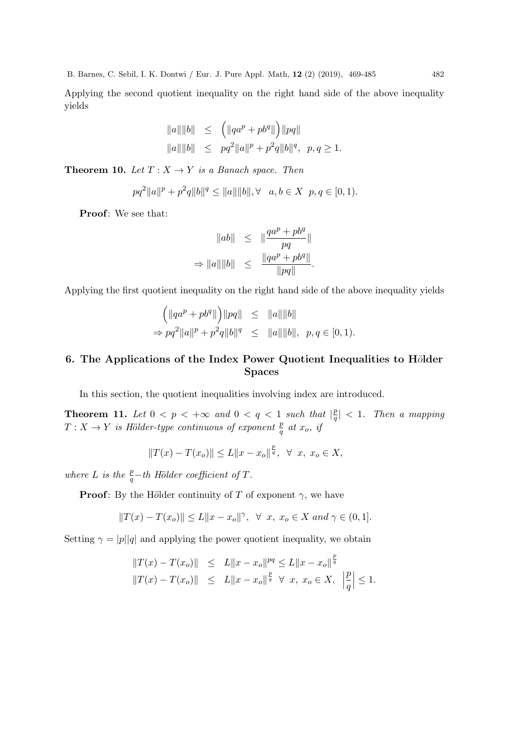Applying the second quotient inequality on the right hand side of the above inequality yields

$$
||a|| ||b|| \le (||qa^p + pb^q||) ||pq||
$$
  
 
$$
||a|| ||b|| \le pq^2 ||a||^p + p^2 q ||b||^q, p, q \ge 1.
$$

**Theorem 10.** Let  $T: X \to Y$  is a Banach space. Then

$$
pq^{2}||a||^{p} + p^{2}q||b||^{q} \le ||a|| ||b||, \forall a, b \in X \ p, q \in [0, 1).
$$

Proof: We see that:

$$
\begin{array}{rcl}\n\|ab\| & \leq & \|\frac{qa^p + pb^q}{pq}\| \\
\Rightarrow \|a\| \|b\| & \leq & \frac{\|qa^p + pb^q\|}{\|pq\|}.\n\end{array}
$$

Applying the first quotient inequality on the right hand side of the above inequality yields

$$
\begin{aligned}\n\left(\|qa^p + pb^q\|\right) &\|pq\| &\leq \|a\| \|b\| \\
\Rightarrow pq^2 \|a\|^p + p^2 q \|b\|^q &\leq \|a\| \|b\|, \ \ p, q \in [0, 1).\n\end{aligned}
$$

## 6. The Applications of the Index Power Quotient Inequalities to H $\ddot{o}$ lder Spaces

In this section, the quotient inequalities involving index are introduced.

**Theorem 11.** Let  $0 \leq p \leq +\infty$  and  $0 \leq q \leq 1$  such that  $\left|\frac{p}{q}\right|$  $\left|\frac{p}{q}\right| < 1$ . Then a mapping  $T: X \to Y$  is Hölder-type continuous of exponent  $\frac{p}{q}$  at  $x_o$ , if

$$
||T(x) - T(x_o)|| \le L||x - x_o||^{\frac{p}{q}}, \ \ \forall \ \ x, \ x_o \in X,
$$

where L is the  $\frac{p}{q}$ -th Hölder coefficient of T.

**Proof:** By the Hölder continuity of T of exponent  $\gamma$ , we have

$$
||T(x) - T(x_o)|| \le L||x - x_o||^{\gamma}, \ \forall \ x, \ x_o \in X \ and \ \gamma \in (0, 1].
$$

Setting  $\gamma = |p||q|$  and applying the power quotient inequality, we obtain

$$
||T(x) - T(x_0)|| \leq L||x - x_0||^{pq} \leq L||x - x_0||^{\frac{p}{q}}
$$
  

$$
||T(x) - T(x_0)|| \leq L||x - x_0||^{\frac{p}{q}} \forall x, x_0 \in X, \left|\frac{p}{q}\right| \leq 1.
$$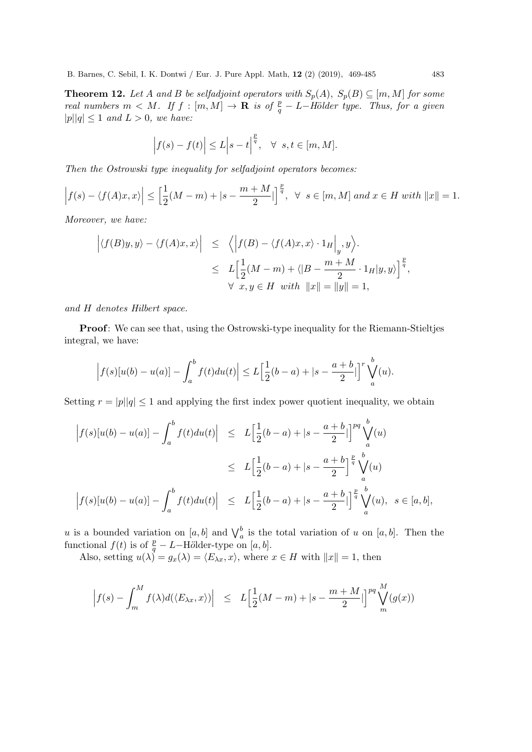**Theorem 12.** Let A and B be selfadjoint operators with  $S_p(A)$ ,  $S_p(B) \subseteq [m, M]$  for some real numbers  $m < M$ . If  $f : [m, M] \to \mathbf{R}$  is of  $\frac{p}{q} - L$ -Hölder type. Thus, for a given  $|p||q| \leq 1$  and  $L > 0$ , we have:

$$
\left|f(s) - f(t)\right| \le L \left|s - t\right|^{\frac{p}{q}}, \quad \forall \ s, t \in [m, M].
$$

Then the Ostrowski type inequality for selfadjoint operators becomes:

$$
\left|f(s) - \langle f(A)x, x \rangle\right| \le \left[\frac{1}{2}(M-m) + |s - \frac{m+M}{2}|\right]^{\frac{p}{q}}, \ \ \forall \ \ s \in [m, M] \ and \ x \in H \ with \ \|x\| = 1.
$$

Moreover, we have:

$$
\left| \langle f(B)y, y \rangle - \langle f(A)x, x \rangle \right| \leq \left\langle \left| f(B) - \langle f(A)x, x \rangle \cdot 1_H \right|_y, y \right\rangle.
$$
  

$$
\leq L \Big[ \frac{1}{2} (M - m) + \langle |B - \frac{m + M}{2} \cdot 1_H | y, y \rangle \Big]^{\frac{p}{q}},
$$
  

$$
\forall x, y \in H \text{ with } ||x|| = ||y|| = 1,
$$

and H denotes Hilbert space.

Proof: We can see that, using the Ostrowski-type inequality for the Riemann-Stieltjes integral, we have:

$$
\left|f(s)[u(b) - u(a)] - \int_a^b f(t)du(t)\right| \le L\left[\frac{1}{2}(b-a) + |s - \frac{a+b}{2}|\right]^r \bigvee_a^b(u).
$$

Setting  $r = |p||q| \leq 1$  and applying the first index power quotient inequality, we obtain

$$
\begin{aligned}\n\left| f(s)[u(b) - u(a)] - \int_a^b f(t) du(t) \right| &\le L \Big[ \frac{1}{2}(b-a) + |s - \frac{a+b}{2}| \Big]^{pq} \bigvee_a^b(u) \\
&\le L \Big[ \frac{1}{2}(b-a) + |s - \frac{a+b}{2}| \Big]^{p \overline{q}} \bigvee_a^b(u) \\
\left| f(s)[u(b) - u(a)] - \int_a^b f(t) du(t) \right| &\le L \Big[ \frac{1}{2}(b-a) + |s - \frac{a+b}{2}| \Big]^{p \overline{q}} \bigvee_a^b(u), \ \ s \in [a, b],\n\end{aligned}
$$

u is a bounded variation on  $[a, b]$  and  $\bigvee_a^b$  is the total variation of u on  $[a, b]$ . Then the functional  $f(t)$  is of  $\frac{p}{q} - L - H \ddot{o}$ lder-type on [a, b].

Also, setting  $u(\lambda) = g_x(\lambda) = \langle E_{\lambda x}, x \rangle$ , where  $x \in H$  with  $||x|| = 1$ , then

$$
\Big|f(s)-\int_m^M f(\lambda)d(\langle E_{\lambda x},x\rangle)\Big| \ \le\ L\Big[\frac12(M-m)+|s-\frac{m+M}2|\Big]^{pq}\bigvee_m^M(g(x))
$$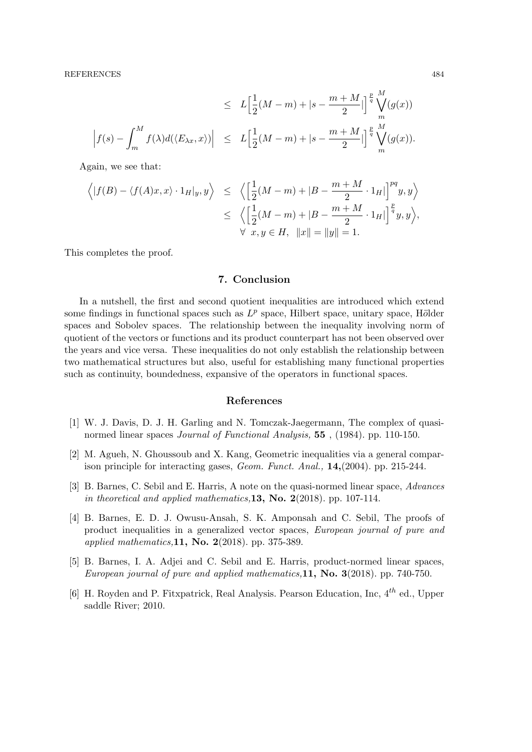REFERENCES 484

$$
\leq L\Big[\frac{1}{2}(M-m)+|s-\frac{m+M}{2}|\Big]^{\frac{p}{q}}\bigvee_m^M(g(x))
$$
  

$$
\Big|f(s)-\int_m^Mf(\lambda)d(\langle E_{\lambda x},x\rangle)\Big| \leq L\Big[\frac{1}{2}(M-m)+|s-\frac{m+M}{2}|\Big]^{\frac{p}{q}}\bigvee_m^M(g(x)).
$$

Again, we see that:

$$
\left\langle |f(B) - \langle f(A)x, x \rangle \cdot 1_H |_{y}, y \right\rangle \leq \left\langle \left[ \frac{1}{2}(M-m) + |B - \frac{m+M}{2} \cdot 1_H| \right]^{pq} y, y \right\rangle
$$
  

$$
\leq \left\langle \left[ \frac{1}{2}(M-m) + |B - \frac{m+M}{2} \cdot 1_H| \right]^{p} y, y \right\rangle,
$$
  

$$
\forall x, y \in H, ||x|| = ||y|| = 1.
$$

This completes the proof.

### 7. Conclusion

In a nutshell, the first and second quotient inequalities are introduced which extend some findings in functional spaces such as  $L^p$  space, Hilbert space, unitary space, Hölder spaces and Sobolev spaces. The relationship between the inequality involving norm of quotient of the vectors or functions and its product counterpart has not been observed over the years and vice versa. These inequalities do not only establish the relationship between two mathematical structures but also, useful for establishing many functional properties such as continuity, boundedness, expansive of the operators in functional spaces.

#### References

- [1] W. J. Davis, D. J. H. Garling and N. Tomczak-Jaegermann, The complex of quasinormed linear spaces Journal of Functional Analysis, 55 , (1984). pp. 110-150.
- [2] M. Agueh, N. Ghoussoub and X. Kang, Geometric inequalities via a general comparison principle for interacting gases, Geom. Funct. Anal., 14,(2004). pp. 215-244.
- [3] B. Barnes, C. Sebil and E. Harris, A note on the quasi-normed linear space, Advances in theoretical and applied mathematics, 13, No. 2(2018). pp. 107-114.
- [4] B. Barnes, E. D. J. Owusu-Ansah, S. K. Amponsah and C. Sebil, The proofs of product inequalities in a generalized vector spaces, European journal of pure and applied mathematics, 11, No. 2(2018). pp. 375-389.
- [5] B. Barnes, I. A. Adjei and C. Sebil and E. Harris, product-normed linear spaces, European journal of pure and applied mathematics,  $11$ , No.  $3(2018)$ . pp. 740-750.
- [6] H. Royden and P. Fitxpatrick, Real Analysis. Pearson Education, Inc,  $4^{th}$  ed., Upper saddle River; 2010.